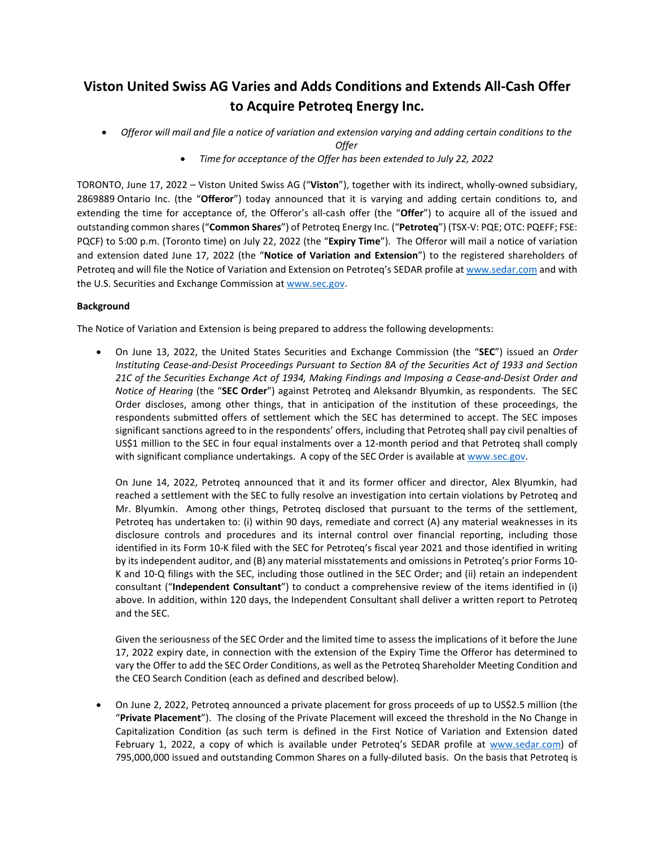# **Viston United Swiss AG Varies and Adds Conditions and Extends All-Cash Offer to Acquire Petroteq Energy Inc.**

• *Offeror will mail and file a notice of variation and extension varying and adding certain conditions to the Offer*

• *Time for acceptance of the Offer has been extended to July 22, 2022*

TORONTO, June 17, 2022 – Viston United Swiss AG ("**Viston**"), together with its indirect, wholly-owned subsidiary, 2869889 Ontario Inc. (the "**Offeror**") today announced that it is varying and adding certain conditions to, and extending the time for acceptance of, the Offeror's all-cash offer (the "**Offer**") to acquire all of the issued and outstanding common shares ("**Common Shares**") of Petroteq Energy Inc. ("**Petroteq**") (TSX-V: PQE; OTC: PQEFF; FSE: PQCF) to 5:00 p.m. (Toronto time) on July 22, 2022 (the "**Expiry Time**"). The Offeror will mail a notice of variation and extension dated June 17, 2022 (the "**Notice of Variation and Extension**") to the registered shareholders of Petroteq and will file the Notice of Variation and Extension on Petroteq's SEDAR profile a[t www.sedar.com](http://www.sedar.com/) and with the U.S. Securities and Exchange Commission at [www.sec.gov.](http://www.sec.gov/) 

# **Background**

The Notice of Variation and Extension is being prepared to address the following developments:

• On June 13, 2022, the United States Securities and Exchange Commission (the "**SEC**") issued an *Order Instituting Cease-and-Desist Proceedings Pursuant to Section 8A of the Securities Act of 1933 and Section 21C of the Securities Exchange Act of 1934, Making Findings and Imposing a Cease-and-Desist Order and Notice of Hearing* (the "**SEC Order**") against Petroteq and Aleksandr Blyumkin, as respondents. The SEC Order discloses, among other things, that in anticipation of the institution of these proceedings, the respondents submitted offers of settlement which the SEC has determined to accept. The SEC imposes significant sanctions agreed to in the respondents' offers, including that Petroteq shall pay civil penalties of US\$1 million to the SEC in four equal instalments over a 12-month period and that Petroteq shall comply with significant compliance undertakings. A copy of the SEC Order is available at [www.sec.gov.](http://www.sec.gov/) 

On June 14, 2022, Petroteq announced that it and its former officer and director, Alex Blyumkin, had reached a settlement with the SEC to fully resolve an investigation into certain violations by Petroteq and Mr. Blyumkin. Among other things, Petroteq disclosed that pursuant to the terms of the settlement, Petroteq has undertaken to: (i) within 90 days, remediate and correct (A) any material weaknesses in its disclosure controls and procedures and its internal control over financial reporting, including those identified in its Form 10-K filed with the SEC for Petroteq's fiscal year 2021 and those identified in writing by its independent auditor, and (B) any material misstatements and omissions in Petroteq's prior Forms 10- K and 10-Q filings with the SEC, including those outlined in the SEC Order; and (ii) retain an independent consultant ("**Independent Consultant**") to conduct a comprehensive review of the items identified in (i) above. In addition, within 120 days, the Independent Consultant shall deliver a written report to Petroteq and the SEC.

Given the seriousness of the SEC Order and the limited time to assess the implications of it before the June 17, 2022 expiry date, in connection with the extension of the Expiry Time the Offeror has determined to vary the Offer to add the SEC Order Conditions, as well as the Petroteq Shareholder Meeting Condition and the CEO Search Condition (each as defined and described below).

• On June 2, 2022, Petroteq announced a private placement for gross proceeds of up to US\$2.5 million (the "**Private Placement**"). The closing of the Private Placement will exceed the threshold in the No Change in Capitalization Condition (as such term is defined in the First Notice of Variation and Extension dated February 1, 2022, a copy of which is available under Petroteq's SEDAR profile at [www.sedar.com\)](http://www.sedar.com/) of 795,000,000 issued and outstanding Common Shares on a fully-diluted basis. On the basis that Petroteq is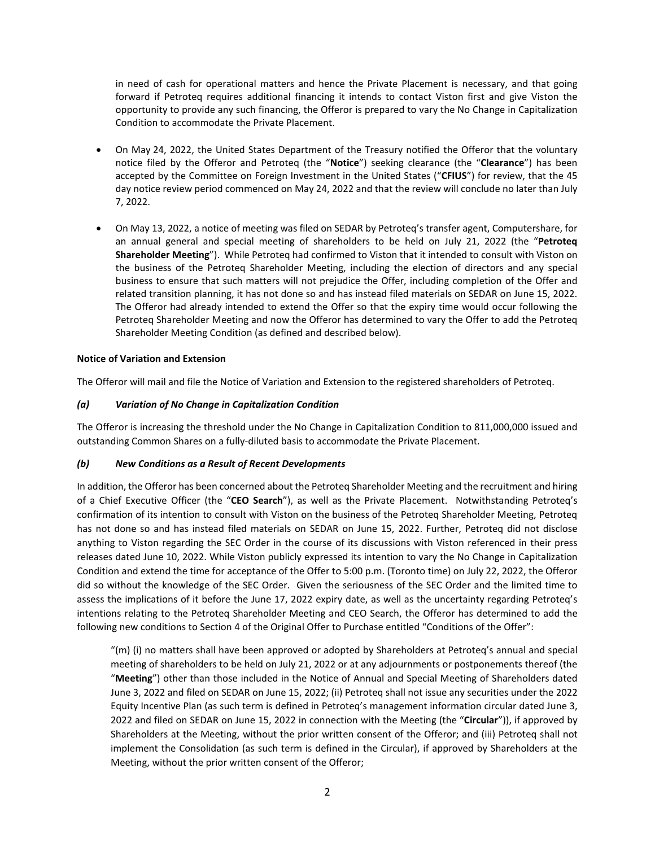in need of cash for operational matters and hence the Private Placement is necessary, and that going forward if Petroteq requires additional financing it intends to contact Viston first and give Viston the opportunity to provide any such financing, the Offeror is prepared to vary the No Change in Capitalization Condition to accommodate the Private Placement.

- On May 24, 2022, the United States Department of the Treasury notified the Offeror that the voluntary notice filed by the Offeror and Petroteq (the "**Notice**") seeking clearance (the "**Clearance**") has been accepted by the Committee on Foreign Investment in the United States ("**CFIUS**") for review, that the 45 day notice review period commenced on May 24, 2022 and that the review will conclude no later than July 7, 2022.
- On May 13, 2022, a notice of meeting was filed on SEDAR by Petroteq's transfer agent, Computershare, for an annual general and special meeting of shareholders to be held on July 21, 2022 (the "**Petroteq Shareholder Meeting**"). While Petroteq had confirmed to Viston that it intended to consult with Viston on the business of the Petroteq Shareholder Meeting, including the election of directors and any special business to ensure that such matters will not prejudice the Offer, including completion of the Offer and related transition planning, it has not done so and has instead filed materials on SEDAR on June 15, 2022. The Offeror had already intended to extend the Offer so that the expiry time would occur following the Petroteq Shareholder Meeting and now the Offeror has determined to vary the Offer to add the Petroteq Shareholder Meeting Condition (as defined and described below).

## **Notice of Variation and Extension**

The Offeror will mail and file the Notice of Variation and Extension to the registered shareholders of Petroteq.

## *(a) Variation of No Change in Capitalization Condition*

The Offeror is increasing the threshold under the No Change in Capitalization Condition to 811,000,000 issued and outstanding Common Shares on a fully-diluted basis to accommodate the Private Placement.

#### *(b) New Conditions as a Result of Recent Developments*

In addition, the Offeror has been concerned about the Petroteq Shareholder Meeting and the recruitment and hiring of a Chief Executive Officer (the "**CEO Search**"), as well as the Private Placement. Notwithstanding Petroteq's confirmation of its intention to consult with Viston on the business of the Petroteq Shareholder Meeting, Petroteq has not done so and has instead filed materials on SEDAR on June 15, 2022. Further, Petroteq did not disclose anything to Viston regarding the SEC Order in the course of its discussions with Viston referenced in their press releases dated June 10, 2022. While Viston publicly expressed its intention to vary the No Change in Capitalization Condition and extend the time for acceptance of the Offer to 5:00 p.m. (Toronto time) on July 22, 2022, the Offeror did so without the knowledge of the SEC Order. Given the seriousness of the SEC Order and the limited time to assess the implications of it before the June 17, 2022 expiry date, as well as the uncertainty regarding Petroteq's intentions relating to the Petroteq Shareholder Meeting and CEO Search, the Offeror has determined to add the following new conditions to Section 4 of the Original Offer to Purchase entitled "Conditions of the Offer":

"(m) (i) no matters shall have been approved or adopted by Shareholders at Petroteq's annual and special meeting of shareholders to be held on July 21, 2022 or at any adjournments or postponements thereof (the "**Meeting**") other than those included in the Notice of Annual and Special Meeting of Shareholders dated June 3, 2022 and filed on SEDAR on June 15, 2022; (ii) Petroteq shall not issue any securities under the 2022 Equity Incentive Plan (as such term is defined in Petroteq's management information circular dated June 3, 2022 and filed on SEDAR on June 15, 2022 in connection with the Meeting (the "**Circular**")), if approved by Shareholders at the Meeting, without the prior written consent of the Offeror; and (iii) Petroteq shall not implement the Consolidation (as such term is defined in the Circular), if approved by Shareholders at the Meeting, without the prior written consent of the Offeror;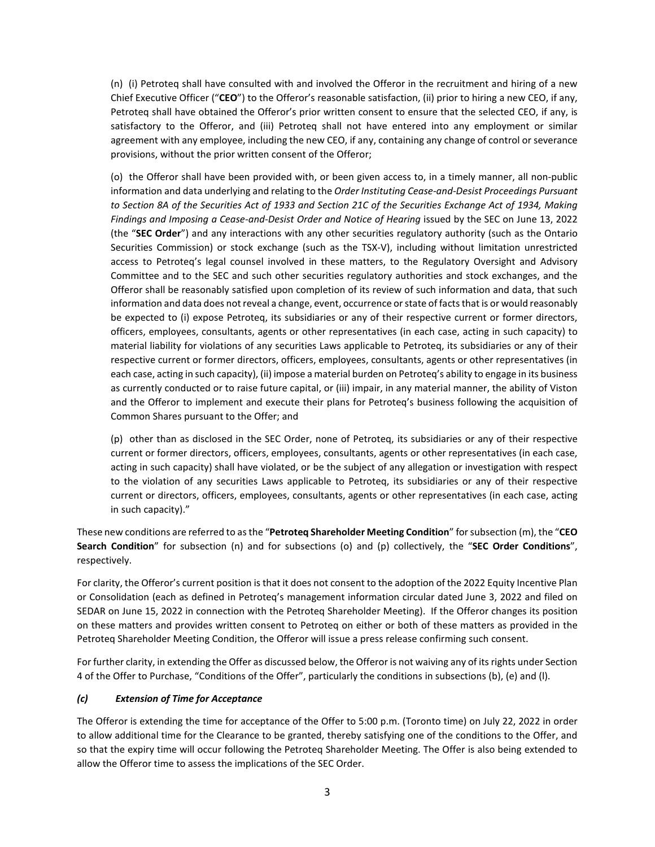(n) (i) Petroteq shall have consulted with and involved the Offeror in the recruitment and hiring of a new Chief Executive Officer ("**CEO**") to the Offeror's reasonable satisfaction, (ii) prior to hiring a new CEO, if any, Petroteq shall have obtained the Offeror's prior written consent to ensure that the selected CEO, if any, is satisfactory to the Offeror, and (iii) Petroteq shall not have entered into any employment or similar agreement with any employee, including the new CEO, if any, containing any change of control or severance provisions, without the prior written consent of the Offeror;

(o) the Offeror shall have been provided with, or been given access to, in a timely manner, all non-public information and data underlying and relating to the *Order Instituting Cease-and-Desist Proceedings Pursuant to Section 8A of the Securities Act of 1933 and Section 21C of the Securities Exchange Act of 1934, Making Findings and Imposing a Cease-and-Desist Order and Notice of Hearing* issued by the SEC on June 13, 2022 (the "**SEC Order**") and any interactions with any other securities regulatory authority (such as the Ontario Securities Commission) or stock exchange (such as the TSX-V), including without limitation unrestricted access to Petroteq's legal counsel involved in these matters, to the Regulatory Oversight and Advisory Committee and to the SEC and such other securities regulatory authorities and stock exchanges, and the Offeror shall be reasonably satisfied upon completion of its review of such information and data, that such information and data does not reveal a change, event, occurrence or state of facts that is or would reasonably be expected to (i) expose Petroteq, its subsidiaries or any of their respective current or former directors, officers, employees, consultants, agents or other representatives (in each case, acting in such capacity) to material liability for violations of any securities Laws applicable to Petroteq, its subsidiaries or any of their respective current or former directors, officers, employees, consultants, agents or other representatives (in each case, acting in such capacity), (ii) impose a material burden on Petroteq's ability to engage in its business as currently conducted or to raise future capital, or (iii) impair, in any material manner, the ability of Viston and the Offeror to implement and execute their plans for Petroteq's business following the acquisition of Common Shares pursuant to the Offer; and

(p) other than as disclosed in the SEC Order, none of Petroteq, its subsidiaries or any of their respective current or former directors, officers, employees, consultants, agents or other representatives (in each case, acting in such capacity) shall have violated, or be the subject of any allegation or investigation with respect to the violation of any securities Laws applicable to Petroteq, its subsidiaries or any of their respective current or directors, officers, employees, consultants, agents or other representatives (in each case, acting in such capacity)."

These new conditions are referred to as the "**Petroteq Shareholder Meeting Condition**" for subsection (m), the "**CEO Search Condition**" for subsection (n) and for subsections (o) and (p) collectively, the "**SEC Order Conditions**", respectively.

For clarity, the Offeror's current position is that it does not consent to the adoption of the 2022 Equity Incentive Plan or Consolidation (each as defined in Petroteq's management information circular dated June 3, 2022 and filed on SEDAR on June 15, 2022 in connection with the Petroteq Shareholder Meeting). If the Offeror changes its position on these matters and provides written consent to Petroteq on either or both of these matters as provided in the Petroteq Shareholder Meeting Condition, the Offeror will issue a press release confirming such consent.

For further clarity, in extending the Offer as discussed below, the Offeror is not waiving any of its rights under Section 4 of the Offer to Purchase, "Conditions of the Offer", particularly the conditions in subsections (b), (e) and (l).

## *(c) Extension of Time for Acceptance*

The Offeror is extending the time for acceptance of the Offer to 5:00 p.m. (Toronto time) on July 22, 2022 in order to allow additional time for the Clearance to be granted, thereby satisfying one of the conditions to the Offer, and so that the expiry time will occur following the Petroteq Shareholder Meeting. The Offer is also being extended to allow the Offeror time to assess the implications of the SEC Order.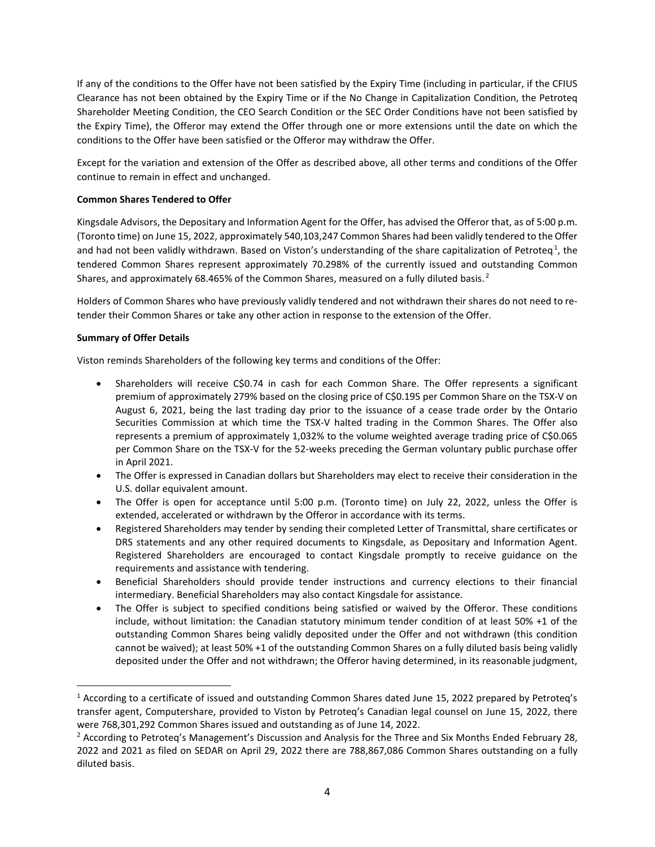If any of the conditions to the Offer have not been satisfied by the Expiry Time (including in particular, if the CFIUS Clearance has not been obtained by the Expiry Time or if the No Change in Capitalization Condition, the Petroteq Shareholder Meeting Condition, the CEO Search Condition or the SEC Order Conditions have not been satisfied by the Expiry Time), the Offeror may extend the Offer through one or more extensions until the date on which the conditions to the Offer have been satisfied or the Offeror may withdraw the Offer.

Except for the variation and extension of the Offer as described above, all other terms and conditions of the Offer continue to remain in effect and unchanged.

## **Common Shares Tendered to Offer**

Kingsdale Advisors, the Depositary and Information Agent for the Offer, has advised the Offeror that, as of 5:00 p.m. (Toronto time) on June 15, 2022, approximately 540,103,247 Common Shares had been validly tendered to the Offer and had not been validly withdrawn. Based on Viston's understanding of the share capitalization of Petroteq<sup>1</sup>, the tendered Common Shares represent approximately 70.298% of the currently issued and outstanding Common Shares, and approximately 68.465% of the Common Shares, measured on a fully diluted basis.<sup>2</sup>

Holders of Common Shares who have previously validly tendered and not withdrawn their shares do not need to retender their Common Shares or take any other action in response to the extension of the Offer.

# **Summary of Offer Details**

Viston reminds Shareholders of the following key terms and conditions of the Offer:

- Shareholders will receive C\$0.74 in cash for each Common Share. The Offer represents a significant premium of approximately 279% based on the closing price of C\$0.195 per Common Share on the TSX-V on August 6, 2021, being the last trading day prior to the issuance of a cease trade order by the Ontario Securities Commission at which time the TSX-V halted trading in the Common Shares. The Offer also represents a premium of approximately 1,032% to the volume weighted average trading price of C\$0.065 per Common Share on the TSX-V for the 52-weeks preceding the German voluntary public purchase offer in April 2021.
- The Offer is expressed in Canadian dollars but Shareholders may elect to receive their consideration in the U.S. dollar equivalent amount.
- The Offer is open for acceptance until 5:00 p.m. (Toronto time) on July 22, 2022, unless the Offer is extended, accelerated or withdrawn by the Offeror in accordance with its terms.
- Registered Shareholders may tender by sending their completed Letter of Transmittal, share certificates or DRS statements and any other required documents to Kingsdale, as Depositary and Information Agent. Registered Shareholders are encouraged to contact Kingsdale promptly to receive guidance on the requirements and assistance with tendering.
- Beneficial Shareholders should provide tender instructions and currency elections to their financial intermediary. Beneficial Shareholders may also contact Kingsdale for assistance.
- The Offer is subject to specified conditions being satisfied or waived by the Offeror. These conditions include, without limitation: the Canadian statutory minimum tender condition of at least 50% +1 of the outstanding Common Shares being validly deposited under the Offer and not withdrawn (this condition cannot be waived); at least 50% +1 of the outstanding Common Shares on a fully diluted basis being validly deposited under the Offer and not withdrawn; the Offeror having determined, in its reasonable judgment,

<sup>1</sup> According to a certificate of issued and outstanding Common Shares dated June 15, 2022 prepared by Petroteq's transfer agent, Computershare, provided to Viston by Petroteq's Canadian legal counsel on June 15, 2022, there were 768,301,292 Common Shares issued and outstanding as of June 14, 2022.

<sup>&</sup>lt;sup>2</sup> According to Petroteq's Management's Discussion and Analysis for the Three and Six Months Ended February 28, 2022 and 2021 as filed on SEDAR on April 29, 2022 there are 788,867,086 Common Shares outstanding on a fully diluted basis.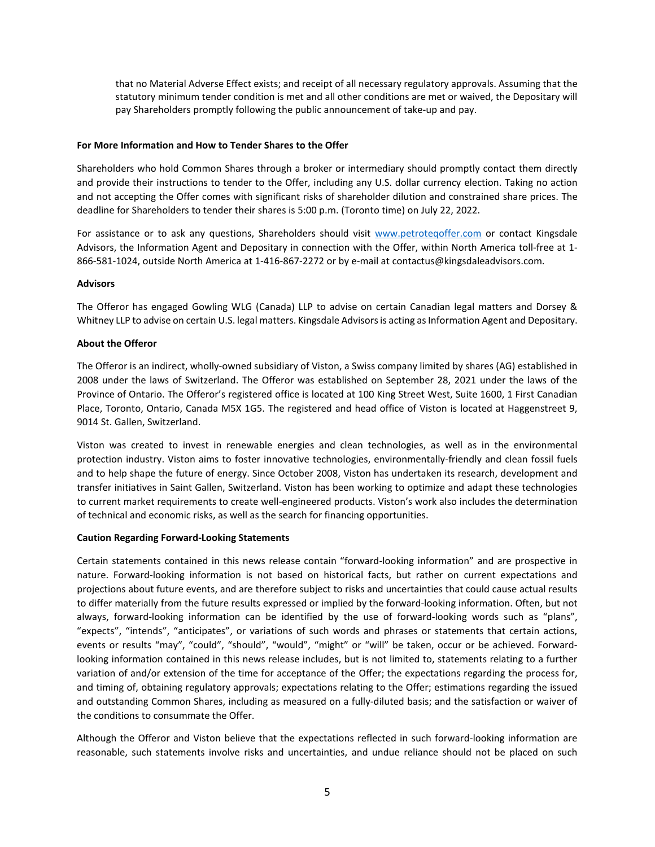that no Material Adverse Effect exists; and receipt of all necessary regulatory approvals. Assuming that the statutory minimum tender condition is met and all other conditions are met or waived, the Depositary will pay Shareholders promptly following the public announcement of take-up and pay.

#### **For More Information and How to Tender Shares to the Offer**

Shareholders who hold Common Shares through a broker or intermediary should promptly contact them directly and provide their instructions to tender to the Offer, including any U.S. dollar currency election. Taking no action and not accepting the Offer comes with significant risks of shareholder dilution and constrained share prices. The deadline for Shareholders to tender their shares is 5:00 p.m. (Toronto time) on July 22, 2022.

For assistance or to ask any questions, Shareholders should visit [www.petroteqoffer.com](http://www.petroteqoffer.com/) or contact Kingsdale Advisors, the Information Agent and Depositary in connection with the Offer, within North America toll-free at 1- 866-581-1024, outside North America at 1-416-867-2272 or by e-mail at [contactus@kingsdaleadvisors.com.](mailto:contactus@kingsdaleadvisors.com)

## **Advisors**

The Offeror has engaged Gowling WLG (Canada) LLP to advise on certain Canadian legal matters and Dorsey & Whitney LLP to advise on certain U.S. legal matters. Kingsdale Advisors is acting as Information Agent and Depositary.

## **About the Offeror**

The Offeror is an indirect, wholly-owned subsidiary of Viston, a Swiss company limited by shares (AG) established in 2008 under the laws of Switzerland. The Offeror was established on September 28, 2021 under the laws of the Province of Ontario. The Offeror's registered office is located at 100 King Street West, Suite 1600, 1 First Canadian Place, Toronto, Ontario, Canada M5X 1G5. The registered and head office of Viston is located at Haggenstreet 9, 9014 St. Gallen, Switzerland.

Viston was created to invest in renewable energies and clean technologies, as well as in the environmental protection industry. Viston aims to foster innovative technologies, environmentally-friendly and clean fossil fuels and to help shape the future of energy. Since October 2008, Viston has undertaken its research, development and transfer initiatives in Saint Gallen, Switzerland. Viston has been working to optimize and adapt these technologies to current market requirements to create well-engineered products. Viston's work also includes the determination of technical and economic risks, as well as the search for financing opportunities.

#### **Caution Regarding Forward-Looking Statements**

Certain statements contained in this news release contain "forward-looking information" and are prospective in nature. Forward-looking information is not based on historical facts, but rather on current expectations and projections about future events, and are therefore subject to risks and uncertainties that could cause actual results to differ materially from the future results expressed or implied by the forward-looking information. Often, but not always, forward-looking information can be identified by the use of forward-looking words such as "plans", "expects", "intends", "anticipates", or variations of such words and phrases or statements that certain actions, events or results "may", "could", "should", "would", "might" or "will" be taken, occur or be achieved. Forwardlooking information contained in this news release includes, but is not limited to, statements relating to a further variation of and/or extension of the time for acceptance of the Offer; the expectations regarding the process for, and timing of, obtaining regulatory approvals; expectations relating to the Offer; estimations regarding the issued and outstanding Common Shares, including as measured on a fully-diluted basis; and the satisfaction or waiver of the conditions to consummate the Offer.

Although the Offeror and Viston believe that the expectations reflected in such forward-looking information are reasonable, such statements involve risks and uncertainties, and undue reliance should not be placed on such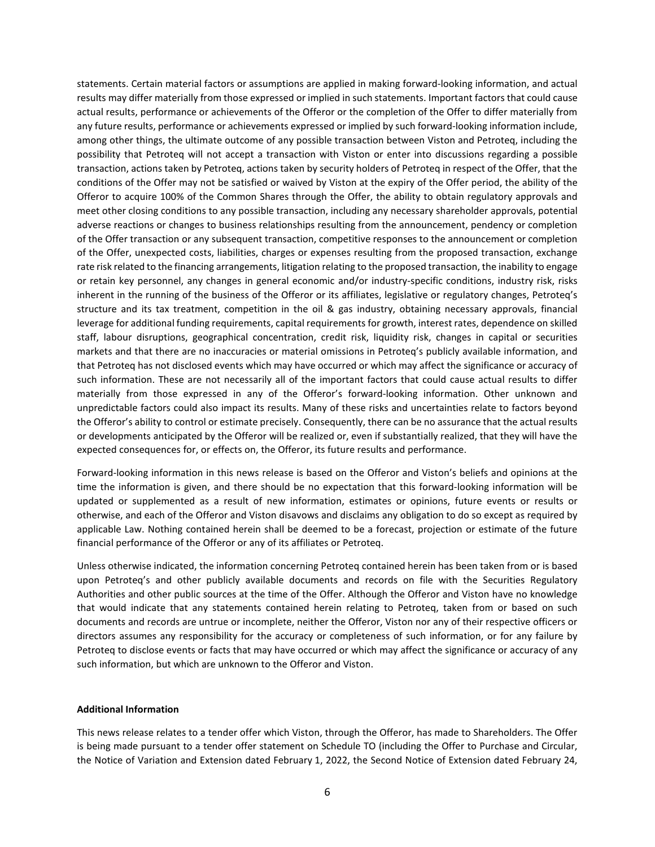statements. Certain material factors or assumptions are applied in making forward-looking information, and actual results may differ materially from those expressed or implied in such statements. Important factors that could cause actual results, performance or achievements of the Offeror or the completion of the Offer to differ materially from any future results, performance or achievements expressed or implied by such forward-looking information include, among other things, the ultimate outcome of any possible transaction between Viston and Petroteq, including the possibility that Petroteq will not accept a transaction with Viston or enter into discussions regarding a possible transaction, actions taken by Petroteq, actions taken by security holders of Petroteq in respect of the Offer, that the conditions of the Offer may not be satisfied or waived by Viston at the expiry of the Offer period, the ability of the Offeror to acquire 100% of the Common Shares through the Offer, the ability to obtain regulatory approvals and meet other closing conditions to any possible transaction, including any necessary shareholder approvals, potential adverse reactions or changes to business relationships resulting from the announcement, pendency or completion of the Offer transaction or any subsequent transaction, competitive responses to the announcement or completion of the Offer, unexpected costs, liabilities, charges or expenses resulting from the proposed transaction, exchange rate risk related to the financing arrangements, litigation relating to the proposed transaction, the inability to engage or retain key personnel, any changes in general economic and/or industry-specific conditions, industry risk, risks inherent in the running of the business of the Offeror or its affiliates, legislative or regulatory changes, Petroteq's structure and its tax treatment, competition in the oil & gas industry, obtaining necessary approvals, financial leverage for additional funding requirements, capital requirements for growth, interest rates, dependence on skilled staff, labour disruptions, geographical concentration, credit risk, liquidity risk, changes in capital or securities markets and that there are no inaccuracies or material omissions in Petroteq's publicly available information, and that Petroteq has not disclosed events which may have occurred or which may affect the significance or accuracy of such information. These are not necessarily all of the important factors that could cause actual results to differ materially from those expressed in any of the Offeror's forward-looking information. Other unknown and unpredictable factors could also impact its results. Many of these risks and uncertainties relate to factors beyond the Offeror's ability to control or estimate precisely. Consequently, there can be no assurance that the actual results or developments anticipated by the Offeror will be realized or, even if substantially realized, that they will have the expected consequences for, or effects on, the Offeror, its future results and performance.

Forward-looking information in this news release is based on the Offeror and Viston's beliefs and opinions at the time the information is given, and there should be no expectation that this forward-looking information will be updated or supplemented as a result of new information, estimates or opinions, future events or results or otherwise, and each of the Offeror and Viston disavows and disclaims any obligation to do so except as required by applicable Law. Nothing contained herein shall be deemed to be a forecast, projection or estimate of the future financial performance of the Offeror or any of its affiliates or Petroteq.

Unless otherwise indicated, the information concerning Petroteq contained herein has been taken from or is based upon Petroteq's and other publicly available documents and records on file with the Securities Regulatory Authorities and other public sources at the time of the Offer. Although the Offeror and Viston have no knowledge that would indicate that any statements contained herein relating to Petroteq, taken from or based on such documents and records are untrue or incomplete, neither the Offeror, Viston nor any of their respective officers or directors assumes any responsibility for the accuracy or completeness of such information, or for any failure by Petroteq to disclose events or facts that may have occurred or which may affect the significance or accuracy of any such information, but which are unknown to the Offeror and Viston.

#### **Additional Information**

This news release relates to a tender offer which Viston, through the Offeror, has made to Shareholders. The Offer is being made pursuant to a tender offer statement on Schedule TO (including the Offer to Purchase and Circular, the Notice of Variation and Extension dated February 1, 2022, the Second Notice of Extension dated February 24,